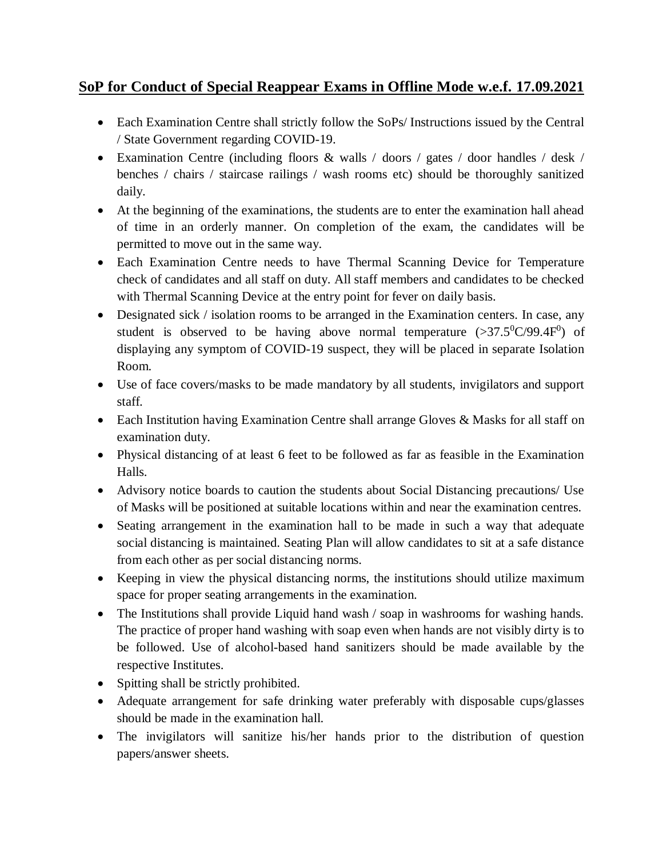## **SoP for Conduct of Special Reappear Exams in Offline Mode w.e.f. 17.09.2021**

- Each Examination Centre shall strictly follow the SoPs/ Instructions issued by the Central / State Government regarding COVID-19.
- Examination Centre (including floors & walls / doors / gates / door handles / desk / benches / chairs / staircase railings / wash rooms etc) should be thoroughly sanitized daily.
- At the beginning of the examinations, the students are to enter the examination hall ahead of time in an orderly manner. On completion of the exam, the candidates will be permitted to move out in the same way.
- Each Examination Centre needs to have Thermal Scanning Device for Temperature check of candidates and all staff on duty. All staff members and candidates to be checked with Thermal Scanning Device at the entry point for fever on daily basis.
- Designated sick / isolation rooms to be arranged in the Examination centers. In case, any student is observed to be having above normal temperature  $(>37.5^0C/99.4F^0)$  of displaying any symptom of COVID-19 suspect, they will be placed in separate Isolation Room.
- Use of face covers/masks to be made mandatory by all students, invigilators and support staff.
- Each Institution having Examination Centre shall arrange Gloves & Masks for all staff on examination duty.
- Physical distancing of at least 6 feet to be followed as far as feasible in the Examination Halls.
- Advisory notice boards to caution the students about Social Distancing precautions/ Use of Masks will be positioned at suitable locations within and near the examination centres.
- Seating arrangement in the examination hall to be made in such a way that adequate social distancing is maintained. Seating Plan will allow candidates to sit at a safe distance from each other as per social distancing norms.
- Keeping in view the physical distancing norms, the institutions should utilize maximum space for proper seating arrangements in the examination.
- The Institutions shall provide Liquid hand wash / soap in washrooms for washing hands. The practice of proper hand washing with soap even when hands are not visibly dirty is to be followed. Use of alcohol-based hand sanitizers should be made available by the respective Institutes.
- Spitting shall be strictly prohibited.
- Adequate arrangement for safe drinking water preferably with disposable cups/glasses should be made in the examination hall.
- The invigilators will sanitize his/her hands prior to the distribution of question papers/answer sheets.